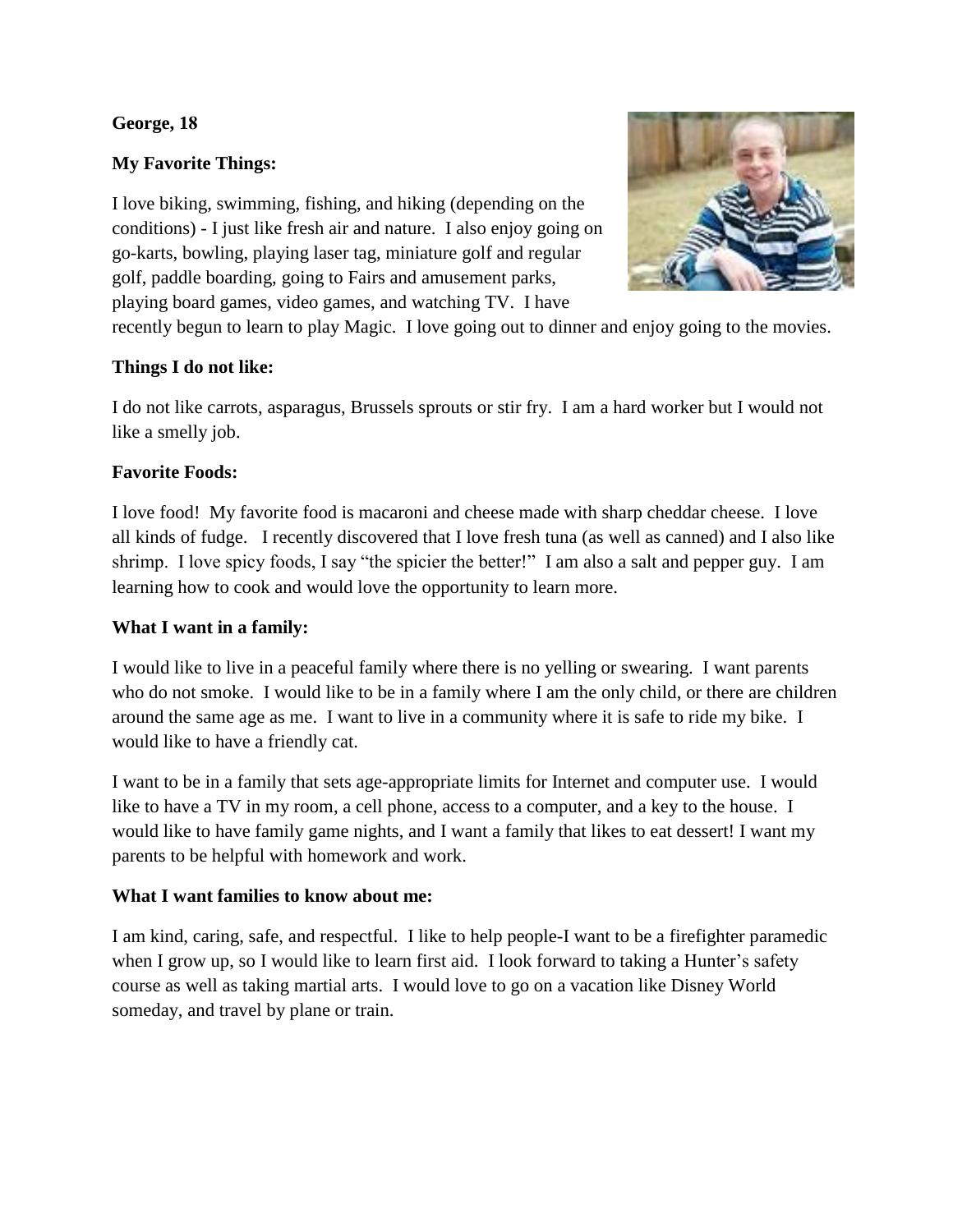# **George, 18**

# **My Favorite Things:**

I love biking, swimming, fishing, and hiking (depending on the conditions) - I just like fresh air and nature. I also enjoy going on go-karts, bowling, playing laser tag, miniature golf and regular golf, paddle boarding, going to Fairs and amusement parks, playing board games, video games, and watching TV. I have



recently begun to learn to play Magic. I love going out to dinner and enjoy going to the movies.

#### **Things I do not like:**

I do not like carrots, asparagus, Brussels sprouts or stir fry. I am a hard worker but I would not like a smelly job.

## **Favorite Foods:**

I love food! My favorite food is macaroni and cheese made with sharp cheddar cheese. I love all kinds of fudge. I recently discovered that I love fresh tuna (as well as canned) and I also like shrimp. I love spicy foods, I say "the spicier the better!" I am also a salt and pepper guy. I am learning how to cook and would love the opportunity to learn more.

## **What I want in a family:**

I would like to live in a peaceful family where there is no yelling or swearing. I want parents who do not smoke. I would like to be in a family where I am the only child, or there are children around the same age as me. I want to live in a community where it is safe to ride my bike. I would like to have a friendly cat.

I want to be in a family that sets age-appropriate limits for Internet and computer use. I would like to have a TV in my room, a cell phone, access to a computer, and a key to the house. I would like to have family game nights, and I want a family that likes to eat dessert! I want my parents to be helpful with homework and work.

## **What I want families to know about me:**

I am kind, caring, safe, and respectful. I like to help people-I want to be a firefighter paramedic when I grow up, so I would like to learn first aid. I look forward to taking a Hunter's safety course as well as taking martial arts. I would love to go on a vacation like Disney World someday, and travel by plane or train.